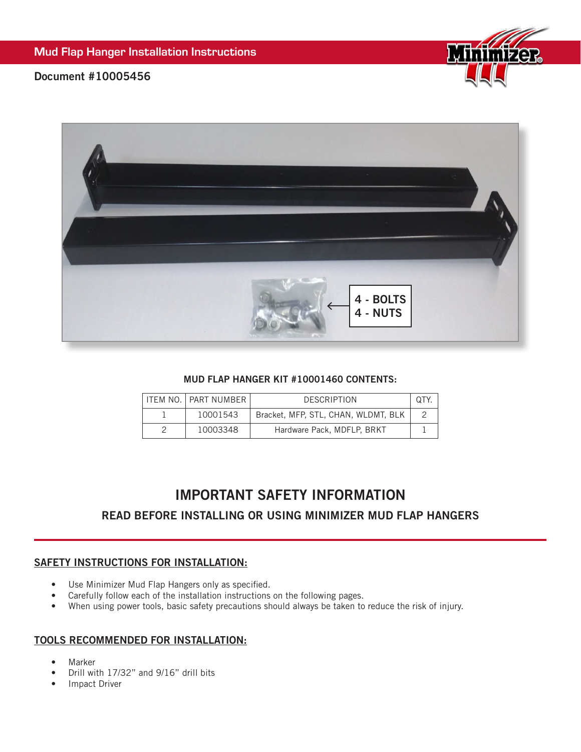

## Document #10005456



#### MUD FLAP HANGER KIT #10001460 CONTENTS:

|  | ITEM NO.   PART NUMBER | <b>DESCRIPTION</b>                  | UJ |
|--|------------------------|-------------------------------------|----|
|  | 10001543               | Bracket, MFP, STL, CHAN, WLDMT, BLK |    |
|  | 10003348               | Hardware Pack, MDFLP, BRKT          |    |

# IMPORTANT SAFETY INFORMATION

## READ BEFORE INSTALLING OR USING MINIMIZER MUD FLAP HANGERS

### SAFETY INSTRUCTIONS FOR INSTALLATION:

- Use Minimizer Mud Flap Hangers only as specified.
- Carefully follow each of the installation instructions on the following pages.
- When using power tools, basic safety precautions should always be taken to reduce the risk of injury.

### TOOLS RECOMMENDED FOR INSTALLATION:

- **Marker**
- Drill with 17/32" and 9/16" drill bits
- Impact Driver